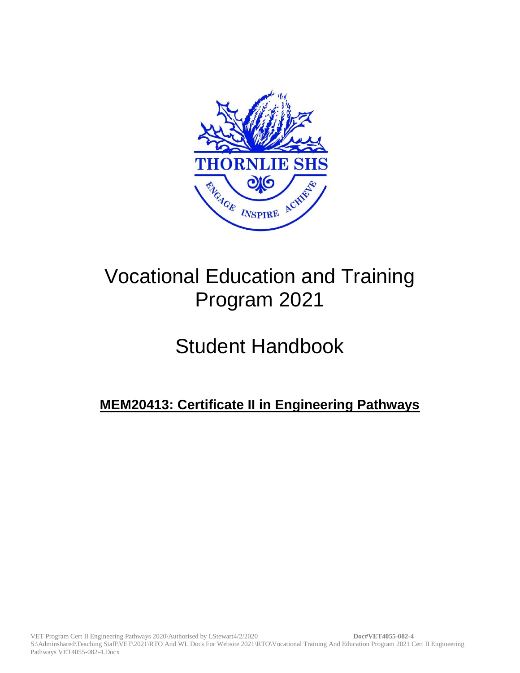

# Vocational Education and Training Program 2021

# Student Handbook

# **MEM20413: Certificate II in Engineering Pathways**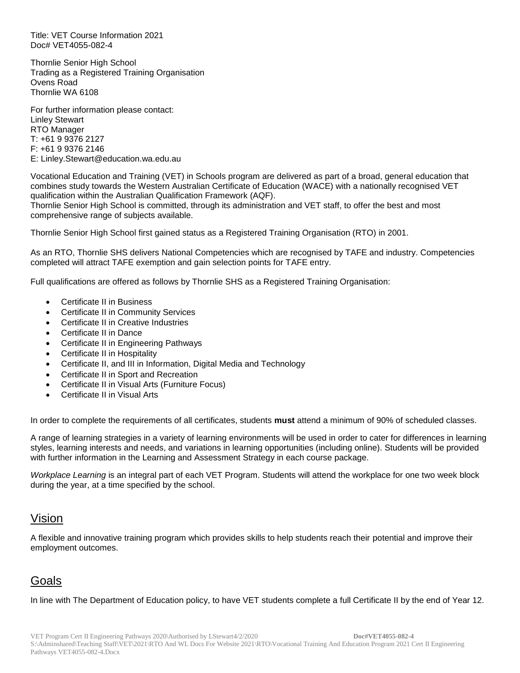Title: VET Course Information 2021 Doc# VET4055-082-4

Thornlie Senior High School Trading as a Registered Training Organisation Ovens Road Thornlie WA 6108

For further information please contact: Linley Stewart RTO Manager T: +61 9 9376 2127 F: +61 9 9376 2146 E: Linley.Stewart@education.wa.edu.au

Vocational Education and Training (VET) in Schools program are delivered as part of a broad, general education that combines study towards the Western Australian Certificate of Education (WACE) with a nationally recognised VET qualification within the Australian Qualification Framework (AQF).

Thornlie Senior High School is committed, through its administration and VET staff, to offer the best and most comprehensive range of subjects available.

Thornlie Senior High School first gained status as a Registered Training Organisation (RTO) in 2001.

As an RTO, Thornlie SHS delivers National Competencies which are recognised by TAFE and industry. Competencies completed will attract TAFE exemption and gain selection points for TAFE entry.

Full qualifications are offered as follows by Thornlie SHS as a Registered Training Organisation:

- Certificate II in Business
- Certificate II in Community Services
- Certificate II in Creative Industries
- Certificate II in Dance
- Certificate II in Engineering Pathways
- Certificate II in Hospitality
- Certificate II, and III in Information, Digital Media and Technology
- Certificate II in Sport and Recreation
- Certificate II in Visual Arts (Furniture Focus)
- Certificate II in Visual Arts

In order to complete the requirements of all certificates, students **must** attend a minimum of 90% of scheduled classes.

A range of learning strategies in a variety of learning environments will be used in order to cater for differences in learning styles, learning interests and needs, and variations in learning opportunities (including online). Students will be provided with further information in the Learning and Assessment Strategy in each course package.

*Workplace Learning* is an integral part of each VET Program. Students will attend the workplace for one two week block during the year, at a time specified by the school.

## Vision

A flexible and innovative training program which provides skills to help students reach their potential and improve their employment outcomes.

## **Goals**

In line with The Department of Education policy, to have VET students complete a full Certificate II by the end of Year 12.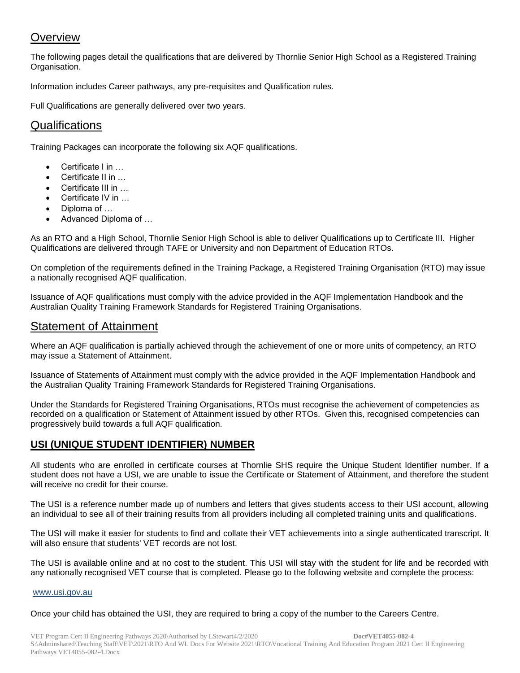## **Overview**

The following pages detail the qualifications that are delivered by Thornlie Senior High School as a Registered Training Organisation.

Information includes Career pathways, any pre-requisites and Qualification rules.

Full Qualifications are generally delivered over two years.

## **Qualifications**

Training Packages can incorporate the following six AQF qualifications.

- Certificate I in ...
- Certificate II in …
- Certificate III in …
- Certificate IV in …
- Diploma of …
- Advanced Diploma of …

As an RTO and a High School, Thornlie Senior High School is able to deliver Qualifications up to Certificate III. Higher Qualifications are delivered through TAFE or University and non Department of Education RTOs.

On completion of the requirements defined in the Training Package, a Registered Training Organisation (RTO) may issue a nationally recognised AQF qualification.

Issuance of AQF qualifications must comply with the advice provided in the AQF Implementation Handbook and the Australian Quality Training Framework Standards for Registered Training Organisations.

## Statement of Attainment

Where an AQF qualification is partially achieved through the achievement of one or more units of competency, an RTO may issue a Statement of Attainment.

Issuance of Statements of Attainment must comply with the advice provided in the AQF Implementation Handbook and the Australian Quality Training Framework Standards for Registered Training Organisations.

Under the Standards for Registered Training Organisations, RTOs must recognise the achievement of competencies as recorded on a qualification or Statement of Attainment issued by other RTOs. Given this, recognised competencies can progressively build towards a full AQF qualification.

## **USI (UNIQUE STUDENT IDENTIFIER) NUMBER**

All students who are enrolled in certificate courses at Thornlie SHS require the Unique Student Identifier number. If a student does not have a USI, we are unable to issue the Certificate or Statement of Attainment, and therefore the student will receive no credit for their course.

The USI is a reference number made up of numbers and letters that gives students access to their USI account, allowing an individual to see all of their training results from all providers including all completed training units and qualifications.

The USI will make it easier for students to find and collate their VET achievements into a single authenticated transcript. It will also ensure that students' VET records are not lost.

The USI is available online and at no cost to the student. This USI will stay with the student for life and be recorded with any nationally recognised VET course that is completed. Please go to the following website and complete the process:

#### [www.usi.gov.au](http://www.usi.gov.au/)

Once your child has obtained the USI, they are required to bring a copy of the number to the Careers Centre.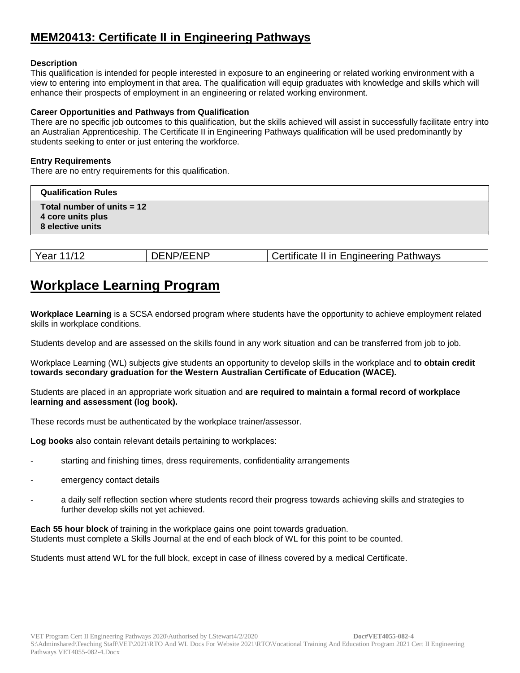## **MEM20413: Certificate II in Engineering Pathways**

#### **Description**

This qualification is intended for people interested in exposure to an engineering or related working environment with a view to entering into employment in that area. The qualification will equip graduates with knowledge and skills which will enhance their prospects of employment in an engineering or related working environment.

#### **Career Opportunities and Pathways from Qualification**

There are no specific job outcomes to this qualification, but the skills achieved will assist in successfully facilitate entry into an Australian Apprenticeship. The Certificate II in Engineering Pathways qualification will be used predominantly by students seeking to enter or just entering the workforce.

#### **Entry Requirements**

There are no entry requirements for this qualification.

| <b>Qualification Rules</b>                                            |  |
|-----------------------------------------------------------------------|--|
| Total number of units $= 12$<br>4 core units plus<br>8 elective units |  |

| DENP/EENP | Certificate II in Engineering Pathways |
|-----------|----------------------------------------|
|           |                                        |

## **Workplace Learning Program**

**Workplace Learning** is a SCSA endorsed program where students have the opportunity to achieve employment related skills in workplace conditions.

Students develop and are assessed on the skills found in any work situation and can be transferred from job to job.

Workplace Learning (WL) subjects give students an opportunity to develop skills in the workplace and **to obtain credit towards secondary graduation for the Western Australian Certificate of Education (WACE).**

Students are placed in an appropriate work situation and **are required to maintain a formal record of workplace learning and assessment (log book).**

These records must be authenticated by the workplace trainer/assessor.

**Log books** also contain relevant details pertaining to workplaces:

- starting and finishing times, dress requirements, confidentiality arrangements
- emergency contact details
- a daily self reflection section where students record their progress towards achieving skills and strategies to further develop skills not yet achieved.

**Each 55 hour block** of training in the workplace gains one point towards graduation. Students must complete a Skills Journal at the end of each block of WL for this point to be counted.

Students must attend WL for the full block, except in case of illness covered by a medical Certificate.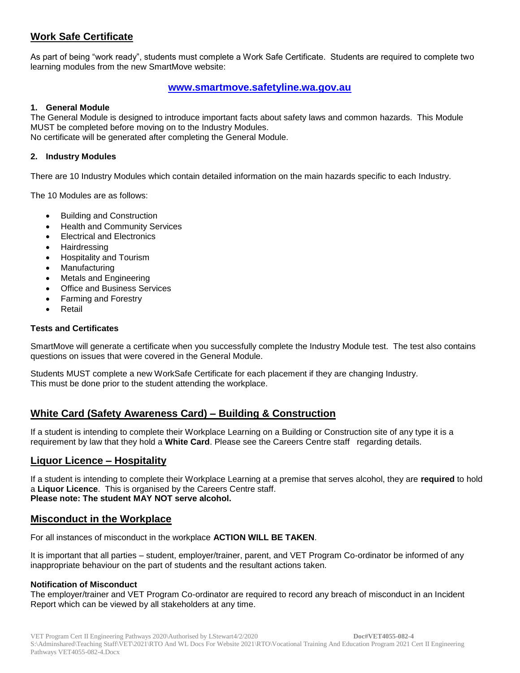## **Work Safe Certificate**

As part of being "work ready", students must complete a Work Safe Certificate. Students are required to complete two learning modules from the new SmartMove website:

## **[www.smartmove.safetyline.wa.gov.au](http://www.smartmove.safetyline.wa.gov.au/)**

#### **1. General Module**

The General Module is designed to introduce important facts about safety laws and common hazards. This Module MUST be completed before moving on to the Industry Modules. No certificate will be generated after completing the General Module.

#### **2. Industry Modules**

There are 10 Industry Modules which contain detailed information on the main hazards specific to each Industry.

The 10 Modules are as follows:

- Building and Construction
- Health and Community Services
- Electrical and Electronics
- **Hairdressing**
- Hospitality and Tourism
- Manufacturing
- Metals and Engineering
- Office and Business Services
- Farming and Forestry
- Retail

#### **Tests and Certificates**

SmartMove will generate a certificate when you successfully complete the Industry Module test. The test also contains questions on issues that were covered in the General Module.

Students MUST complete a new WorkSafe Certificate for each placement if they are changing Industry. This must be done prior to the student attending the workplace.

## **White Card (Safety Awareness Card) – Building & Construction**

If a student is intending to complete their Workplace Learning on a Building or Construction site of any type it is a requirement by law that they hold a **White Card**. Please see the Careers Centre staff regarding details.

## **Liquor Licence – Hospitality**

If a student is intending to complete their Workplace Learning at a premise that serves alcohol, they are **required** to hold a **Liquor Licence**. This is organised by the Careers Centre staff. **Please note: The student MAY NOT serve alcohol.**

## **Misconduct in the Workplace**

For all instances of misconduct in the workplace **ACTION WILL BE TAKEN**.

It is important that all parties – student, employer/trainer, parent, and VET Program Co-ordinator be informed of any inappropriate behaviour on the part of students and the resultant actions taken.

#### **Notification of Misconduct**

The employer/trainer and VET Program Co-ordinator are required to record any breach of misconduct in an Incident Report which can be viewed by all stakeholders at any time.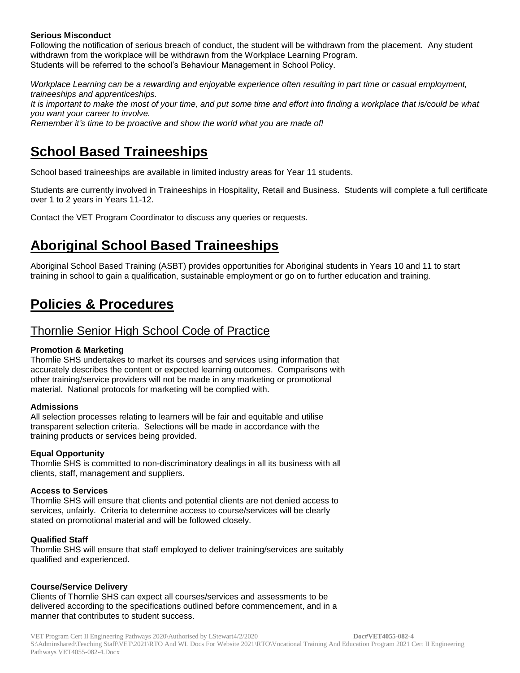#### **Serious Misconduct**

Following the notification of serious breach of conduct, the student will be withdrawn from the placement. Any student withdrawn from the workplace will be withdrawn from the Workplace Learning Program. Students will be referred to the school's Behaviour Management in School Policy.

*Workplace Learning can be a rewarding and enjoyable experience often resulting in part time or casual employment, traineeships and apprenticeships.*

It is important to make the most of your time, and put some time and effort into finding a workplace that is/could be what *you want your career to involve.*

*Remember it's time to be proactive and show the world what you are made of!*

# **School Based Traineeships**

School based traineeships are available in limited industry areas for Year 11 students.

Students are currently involved in Traineeships in Hospitality, Retail and Business. Students will complete a full certificate over 1 to 2 years in Years 11-12.

Contact the VET Program Coordinator to discuss any queries or requests.

# **Aboriginal School Based Traineeships**

Aboriginal School Based Training (ASBT) provides opportunities for Aboriginal students in Years 10 and 11 to start training in school to gain a qualification, sustainable employment or go on to further education and training.

# **Policies & Procedures**

## Thornlie Senior High School Code of Practice

#### **Promotion & Marketing**

Thornlie SHS undertakes to market its courses and services using information that accurately describes the content or expected learning outcomes. Comparisons with other training/service providers will not be made in any marketing or promotional material. National protocols for marketing will be complied with.

#### **Admissions**

All selection processes relating to learners will be fair and equitable and utilise transparent selection criteria. Selections will be made in accordance with the training products or services being provided.

#### **Equal Opportunity**

Thornlie SHS is committed to non-discriminatory dealings in all its business with all clients, staff, management and suppliers.

#### **Access to Services**

Thornlie SHS will ensure that clients and potential clients are not denied access to services, unfairly. Criteria to determine access to course/services will be clearly stated on promotional material and will be followed closely.

#### **Qualified Staff**

Thornlie SHS will ensure that staff employed to deliver training/services are suitably qualified and experienced.

#### **Course/Service Delivery**

Clients of Thornlie SHS can expect all courses/services and assessments to be delivered according to the specifications outlined before commencement, and in a manner that contributes to student success.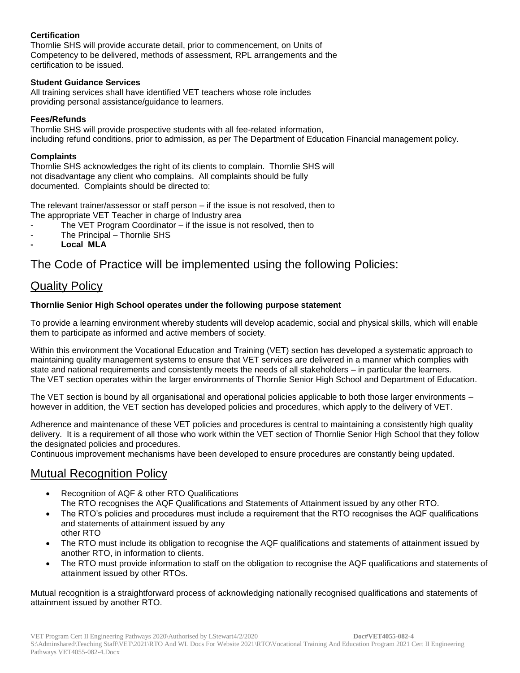## **Certification**

Thornlie SHS will provide accurate detail, prior to commencement, on Units of Competency to be delivered, methods of assessment, RPL arrangements and the certification to be issued.

#### **Student Guidance Services**

All training services shall have identified VET teachers whose role includes providing personal assistance/guidance to learners.

#### **Fees/Refunds**

Thornlie SHS will provide prospective students with all fee-related information, including refund conditions, prior to admission, as per The Department of Education Financial management policy.

#### **Complaints**

Thornlie SHS acknowledges the right of its clients to complain. Thornlie SHS will not disadvantage any client who complains. All complaints should be fully documented. Complaints should be directed to:

The relevant trainer/assessor or staff person – if the issue is not resolved, then to The appropriate VET Teacher in charge of Industry area

- The VET Program Coordinator if the issue is not resolved, then to
- The Principal Thornlie SHS
- **- Local MLA**

## The Code of Practice will be implemented using the following Policies:

## Quality Policy

### **Thornlie Senior High School operates under the following purpose statement**

To provide a learning environment whereby students will develop academic, social and physical skills, which will enable them to participate as informed and active members of society.

Within this environment the Vocational Education and Training (VET) section has developed a systematic approach to maintaining quality management systems to ensure that VET services are delivered in a manner which complies with state and national requirements and consistently meets the needs of all stakeholders – in particular the learners. The VET section operates within the larger environments of Thornlie Senior High School and Department of Education.

The VET section is bound by all organisational and operational policies applicable to both those larger environments – however in addition, the VET section has developed policies and procedures, which apply to the delivery of VET.

Adherence and maintenance of these VET policies and procedures is central to maintaining a consistently high quality delivery. It is a requirement of all those who work within the VET section of Thornlie Senior High School that they follow the designated policies and procedures.

Continuous improvement mechanisms have been developed to ensure procedures are constantly being updated.

## Mutual Recognition Policy

- Recognition of AQF & other RTO Qualifications The RTO recognises the AQF Qualifications and Statements of Attainment issued by any other RTO.
- The RTO's policies and procedures must include a requirement that the RTO recognises the AQF qualifications and statements of attainment issued by any other RTO
- The RTO must include its obligation to recognise the AQF qualifications and statements of attainment issued by another RTO, in information to clients.
- The RTO must provide information to staff on the obligation to recognise the AQF qualifications and statements of attainment issued by other RTOs.

Mutual recognition is a straightforward process of acknowledging nationally recognised qualifications and statements of attainment issued by another RTO.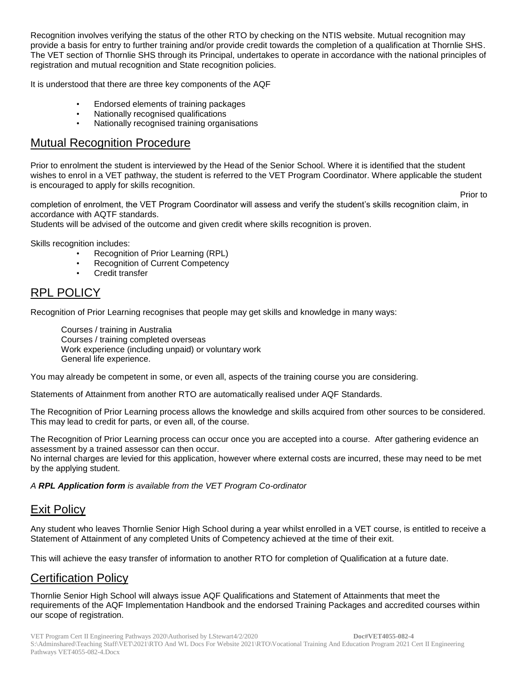Recognition involves verifying the status of the other RTO by checking on the NTIS website. Mutual recognition may provide a basis for entry to further training and/or provide credit towards the completion of a qualification at Thornlie SHS. The VET section of Thornlie SHS through its Principal, undertakes to operate in accordance with the national principles of registration and mutual recognition and State recognition policies.

It is understood that there are three key components of the AQF

- Endorsed elements of training packages
- Nationally recognised qualifications
- Nationally recognised training organisations

## Mutual Recognition Procedure

Prior to enrolment the student is interviewed by the Head of the Senior School. Where it is identified that the student wishes to enrol in a VET pathway, the student is referred to the VET Program Coordinator. Where applicable the student is encouraged to apply for skills recognition.

**Prior to Prior** to **Prior** to **Prior** to **Prior** to **Prior** to **Prior** to **Prior** to **Prior** to **Prior** to **Prior** to **Prior** to **Prior** to **Prior** to **Prior** to **Prior** to **Prior** to **Prior** to **Prior** to **Prior** to **P** 

completion of enrolment, the VET Program Coordinator will assess and verify the student's skills recognition claim, in accordance with AQTF standards.

Students will be advised of the outcome and given credit where skills recognition is proven.

Skills recognition includes:

- Recognition of Prior Learning (RPL)
- Recognition of Current Competency
- Credit transfer

## RPL POLICY

Recognition of Prior Learning recognises that people may get skills and knowledge in many ways:

Courses / training in Australia Courses / training completed overseas Work experience (including unpaid) or voluntary work General life experience.

You may already be competent in some, or even all, aspects of the training course you are considering.

Statements of Attainment from another RTO are automatically realised under AQF Standards.

The Recognition of Prior Learning process allows the knowledge and skills acquired from other sources to be considered. This may lead to credit for parts, or even all, of the course.

The Recognition of Prior Learning process can occur once you are accepted into a course. After gathering evidence an assessment by a trained assessor can then occur.

No internal charges are levied for this application, however where external costs are incurred, these may need to be met by the applying student.

*A RPL Application form is available from the VET Program Co-ordinator*

## Exit Policy

Any student who leaves Thornlie Senior High School during a year whilst enrolled in a VET course, is entitled to receive a Statement of Attainment of any completed Units of Competency achieved at the time of their exit.

This will achieve the easy transfer of information to another RTO for completion of Qualification at a future date.

## Certification Policy

Thornlie Senior High School will always issue AQF Qualifications and Statement of Attainments that meet the requirements of the AQF Implementation Handbook and the endorsed Training Packages and accredited courses within our scope of registration.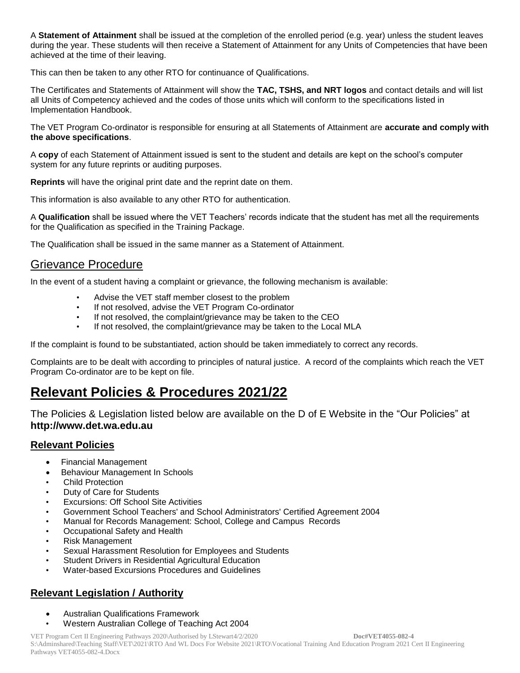A **Statement of Attainment** shall be issued at the completion of the enrolled period (e.g. year) unless the student leaves during the year. These students will then receive a Statement of Attainment for any Units of Competencies that have been achieved at the time of their leaving.

This can then be taken to any other RTO for continuance of Qualifications.

The Certificates and Statements of Attainment will show the **TAC, TSHS, and NRT logos** and contact details and will list all Units of Competency achieved and the codes of those units which will conform to the specifications listed in Implementation Handbook.

The VET Program Co-ordinator is responsible for ensuring at all Statements of Attainment are **accurate and comply with the above specifications**.

A **copy** of each Statement of Attainment issued is sent to the student and details are kept on the school's computer system for any future reprints or auditing purposes.

**Reprints** will have the original print date and the reprint date on them.

This information is also available to any other RTO for authentication.

A **Qualification** shall be issued where the VET Teachers' records indicate that the student has met all the requirements for the Qualification as specified in the Training Package.

The Qualification shall be issued in the same manner as a Statement of Attainment.

## Grievance Procedure

In the event of a student having a complaint or grievance, the following mechanism is available:

- Advise the VET staff member closest to the problem
- If not resolved, advise the VET Program Co-ordinator
- If not resolved, the complaint/grievance may be taken to the CEO
- If not resolved, the complaint/grievance may be taken to the Local MLA

If the complaint is found to be substantiated, action should be taken immediately to correct any records.

Complaints are to be dealt with according to principles of natural justice. A record of the complaints which reach the VET Program Co-ordinator are to be kept on file.

# **Relevant Policies & Procedures 2021/22**

The Policies & Legislation listed below are available on the D of E Website in the "Our Policies" at **http://www.det.wa.edu.au**

## **Relevant Policies**

- Financial Management
- Behaviour Management In Schools
- **Child Protection**
- Duty of Care for Students
- Excursions: Off School Site Activities
- Government School Teachers' and School Administrators' Certified Agreement 2004
- Manual for Records Management: School, College and Campus Records
- Occupational Safety and Health
- Risk Management
- Sexual Harassment Resolution for Employees and Students
- Student Drivers in Residential Agricultural Education
- Water-based Excursions Procedures and Guidelines

## **Relevant Legislation / Authority**

- Australian Qualifications Framework
- Western Australian College of Teaching Act 2004